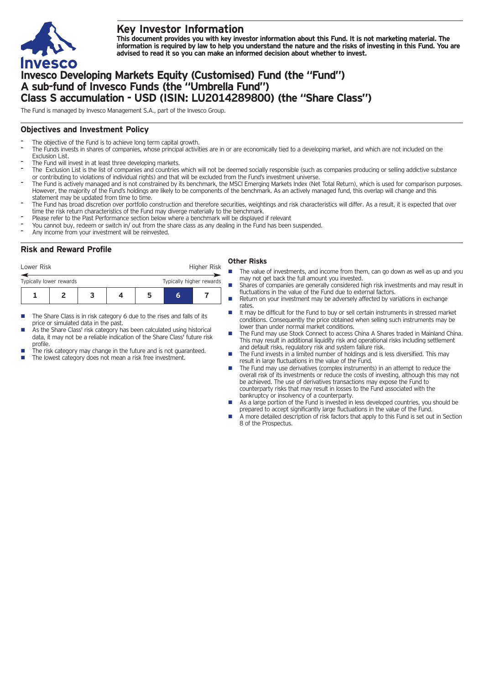

# **Key Investor Information**

This document provides you with key investor information about this Fund. It is not marketing material. The information is required by law to help you understand the nature and the risks of investing in this Fund. You are **advised to read it so you can make an informed decision about whether to invest.**

# **Invesco Developing Markets Equity (Customised) Fund (the "Fund") A sub-fund of Invesco Funds (the "Umbrella Fund") Class S accumulation - USD (ISIN: LU2014289800) (the "Share Class")**

The Fund is managed by Invesco Management S.A., part of the Invesco Group.

## **Objectives and Investment Policy**

- The objective of the Fund is to achieve long term capital growth.
- The Funds invests in shares of companies, whose principal activities are in or are economically tied to a developing market, and which are not included on the Exclusion List.
- The Fund will invest in at least three developing markets.
- The Exclusion List is the list of companies and countries which will not be deemed socially responsible (such as companies producing or selling addictive substance or contributing to violations of individual rights) and that will be excluded from the Fund's investment universe.
- The Fund is actively managed and is not constrained by its benchmark, the MSCI Emerging Markets Index (Net Total Return), which is used for comparison purposes. However, the majority of the Fund's holdings are likely to be components of the benchmark. As an actively managed fund, this overlap will change and this statement may be updated from time to time.
- The Fund has broad discretion over portfolio construction and therefore securities, weightings and risk characteristics will differ. As a result, it is expected that over time the risk return characteristics of the Fund may diverge materially to the benchmark.
- Please refer to the Past Performance section below where a benchmark will be displayed if relevant
- You cannot buy, redeem or switch in/ out from the share class as any dealing in the Fund has been suspended.
- Any income from your investment will be reinvested.

# **Risk and Reward Profile**

| Lower Risk                                          |  |  | Higher Risk |  |   |  |
|-----------------------------------------------------|--|--|-------------|--|---|--|
| Typically higher rewards<br>Typically lower rewards |  |  |             |  |   |  |
|                                                     |  |  |             |  | h |  |

- The Share Class is in risk category 6 due to the rises and falls of its price or simulated data in the past.
- As the Share Class' risk category has been calculated using historical data, it may not be a reliable indication of the Share Class' future risk profile.
- The risk category may change in the future and is not guaranteed.
- The lowest category does not mean a risk free investment.

### **Other Risks**

- The value of investments, and income from them, can go down as well as up and you may not get back the full amount you invested.
- Shares of companies are generally considered high risk investments and may result in fluctuations in the value of the Fund due to external factors.
- Return on your investment may be adversely affected by variations in exchange rates.
- It may be difficult for the Fund to buy or sell certain instruments in stressed market conditions. Consequently the price obtained when selling such instruments may be lower than under normal market conditions.
- n The Fund may use Stock Connect to access China A Shares traded in Mainland China. This may result in additional liquidity risk and operational risks including settlement and default risks, regulatory risk and system failure risk.
- n The Fund invests in a limited number of holdings and is less diversified. This may result in large fluctuations in the value of the Fund.
- The Fund may use derivatives (complex instruments) in an attempt to reduce the overall risk of its investments or reduce the costs of investing, although this may not be achieved. The use of derivatives transactions may expose the Fund to counterparty risks that may result in losses to the Fund associated with the bankruptcy or insolvency of a counterparty.
- As a large portion of the Fund is invested in less developed countries, you should be prepared to accept significantly large fluctuations in the value of the Fund.
- A more detailed description of risk factors that apply to this Fund is set out in Section 8 of the Prospectus.